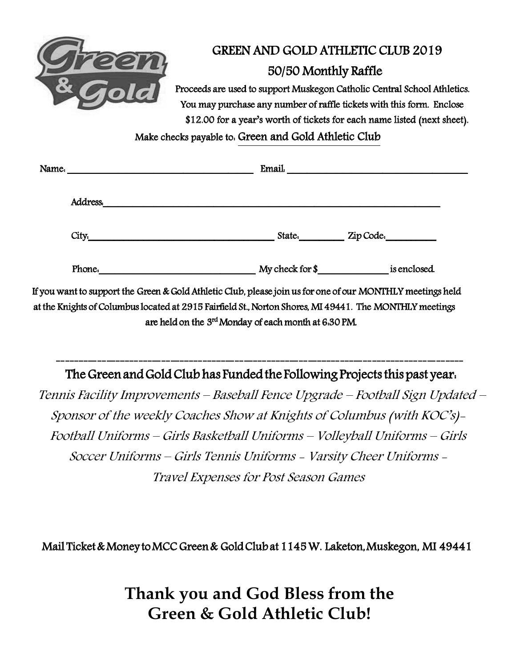

## GREEN AND GOLD ATHLETIC CLUB 2019

## 50/50 Monthly Raffle

Proceeds are used to support Muskegon Catholic Central School Athletics. You may purchase any number of raffle tickets with this form. Enclose \$12.00 for a year's worth of tickets for each name listed (next sheet).

Make checks payable to: Green and Gold Athletic Club

| Name. |          | Email.          |              |
|-------|----------|-----------------|--------------|
|       | Address. |                 |              |
|       | City.    | State.          | Zip Code.    |
|       | Phone.   | My check for \$ | is enclosed. |

If you want to support the Green & Gold Athletic Club, please join us for one of our MONTHLY meetings held at the Knights of Columbus located at 2915 Fairfield St., Norton Shores, MI 49441. The MONTHLY meetings are held on the 3<sup>rd</sup> Monday of each month at 6:30 PM.

----------------------------------------------------------------------------------------- The Green and Gold Club has Funded the Following Projects this past year.

Tennis Facility Improvements – Baseball Fence Upgrade – Football Sign Updated – Sponsor of the weekly Coaches Show at Knights of Columbus (with KOC's)- Football Uniforms – Girls Basketball Uniforms – Volleyball Uniforms – Girls Soccer Uniforms – Girls Tennis Uniforms - Varsity Cheer Uniforms - Travel Expenses for Post Season Games

Mail Ticket & Money to MCC Green & Gold Club at 1145 W. Laketon, Muskegon, MI 49441

**Thank you and God Bless from the Green & Gold Athletic Club!**